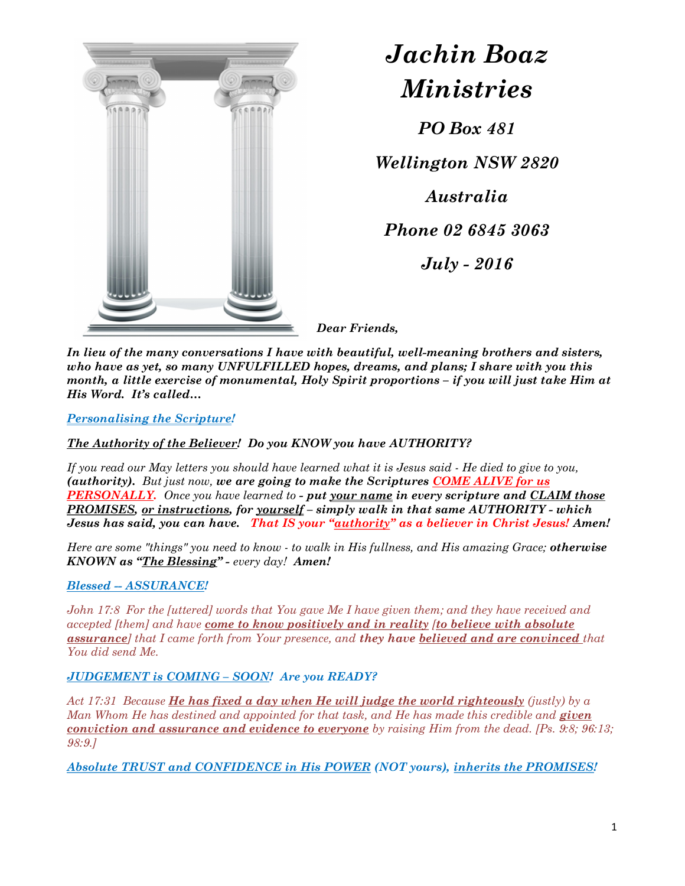

# Jachin Boaz Ministries

PO Box 481

Wellington NSW 2820 Australia

Phone 02 6845 3063

July - 2016

Dear Friends,

In lieu of the many conversations I have with beautiful, well-meaning brothers and sisters, who have as yet, so many UNFULFILLED hopes, dreams, and plans; I share with you this month, a little exercise of monumental, Holy Spirit proportions – if you will just take Him at His Word. It's called…

Personalising the Scripture!

The Authority of the Believer! Do you KNOW you have AUTHORITY?

If you read our May letters you should have learned what it is Jesus said - He died to give to you, (authority). But just now, we are going to make the Scriptures COME ALIVE for us **PERSONALLY.** Once you have learned to - put your name in every scripture and CLAIM those PROMISES, or instructions, for yourself - simply walk in that same AUTHORITY - which Jesus has said, you can have. That IS your "authority" as a believer in Christ Jesus! Amen!

Here are some "things" you need to know - to walk in His fullness, and His amazing Grace; otherwise KNOWN as "The Blessing" - every day! Amen!

# Blessed -- ASSURANCE!

John 17:8 For the [uttered] words that You gave Me I have given them; and they have received and accepted [them] and have come to know positively and in reality [to believe with absolute **assurance**] that I came forth from Your presence, and they have believed and are convinced that You did send Me.

# JUDGEMENT is COMING - SOON! Are you READY?

Act 17:31 Because He has fixed a day when He will judge the world righteously (justly) by a Man Whom He has destined and appointed for that task, and He has made this credible and **given** conviction and assurance and evidence to everyone by raising Him from the dead. [Ps. 9:8; 96:13; 98:9.]

Absolute TRUST and CONFIDENCE in His POWER (NOT yours), inherits the PROMISES!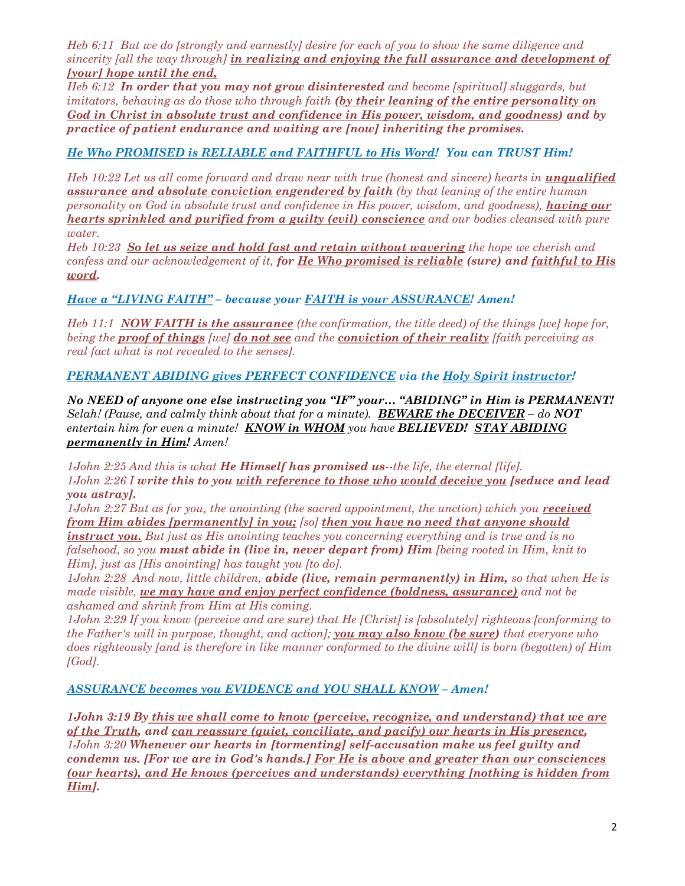Heb 6:11 But we do [strongly and earnestly] desire for each of you to show the same diligence and sincerity [all the way through] in realizing and enjoying the full assurance and development of [your] hope until the end,

Heb 6:12 In order that you may not grow disinterested and become [spiritual] sluggards, but imitators, behaving as do those who through faith (by their leaning of the entire personality on God in Christ in absolute trust and confidence in His power, wisdom, and goodness) and by practice of patient endurance and waiting are [now] inheriting the promises.

# He Who PROMISED is RELIABLE and FAITHFUL to His Word! You can TRUST Him!

Heb 10:22 Let us all come forward and draw near with true (honest and sincere) hearts in *unqualified* **assurance and absolute conviction engendered by faith** (by that leaning of the entire human personality on God in absolute trust and confidence in His power, wisdom, and goodness), **having our** hearts sprinkled and purified from a guilty (evil) conscience and our bodies cleansed with pure water.

Heb 10:23 So let us seize and hold fast and retain without wavering the hope we cherish and confess and our acknowledgement of it, for He Who promised is reliable (sure) and faithful to His word.

Have a "LIVING FAITH" - because your FAITH is your ASSURANCE! Amen!

Heb 11:1 NOW FAITH is the assurance (the confirmation, the title deed) of the things [we] hope for, being the **proof of things** [we] **do not see** and the **conviction of their reality** [faith perceiving as real fact what is not revealed to the senses].

PERMANENT ABIDING gives PERFECT CONFIDENCE via the Holy Spirit instructor!

No NEED of anyone one else instructing you "IF" your… "ABIDING" in Him is PERMANENT! Selah! (Pause, and calmly think about that for a minute). **BEWARE the DECEIVER** – do NOT entertain him for even a minute! **KNOW in WHOM** you have **BELIEVED! STAY ABIDING** permanently in Him! Amen!

1John 2:25 And this is what  $He$  Himself has promised us--the life, the eternal [life]. 1John 2:26 I write this to you with reference to those who would deceive you [seduce and lead you astray].

1John 2:27 But as for you, the anointing (the sacred appointment, the unction) which you received from Him abides [permanently] in you; [so] then you have no need that anyone should instruct you. But just as His anointing teaches you concerning everything and is true and is no falsehood, so you must abide in (live in, never depart from) Him  $\beta$  [being rooted in Him, knit to Him], just as [His anointing] has taught you [to do].

1John 2:28 And now, little children, **abide (live, remain permanently) in Him,** so that when He is made visible, we may have and enjoy perfect confidence (boldness, assurance) and not be ashamed and shrink from Him at His coming.

1John 2:29 If you know (perceive and are sure) that He [Christ] is [absolutely] righteous [conforming to the Father's will in purpose, thought, and action]; you may also know (be sure) that everyone who does righteously fand is therefore in like manner conformed to the divine will is born (begotten) of Him  $[God]$ .

# ASSURANCE becomes you EVIDENCE and YOU SHALL KNOW – Amen!

1John 3:19 By this we shall come to know (perceive, recognize, and understand) that we are of the Truth, and can reassure (quiet, conciliate, and pacify) our hearts in His presence, 1John 3:20 Whenever our hearts in [tormenting] self-accusation make us feel guilty and condemn us. [For we are in God's hands.] For He is above and greater than our consciences (our hearts), and He knows (perceives and understands) everything [nothing is hidden from Him].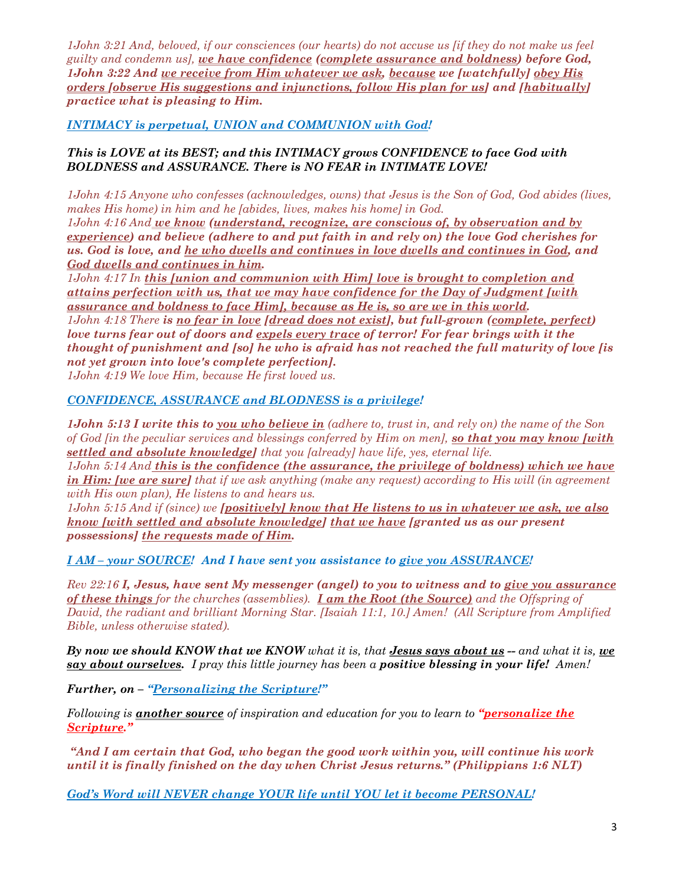1John 3:21 And, beloved, if our consciences (our hearts) do not accuse us [if they do not make us feel guilty and condemn us], we have confidence (complete assurance and boldness) before God, 1John 3:22 And we receive from Him whatever we ask, because we [watchfully] obey His orders [observe His suggestions and injunctions, follow His plan for us] and [habitually] practice what is pleasing to Him.

INTIMACY is perpetual, UNION and COMMUNION with God!

### This is LOVE at its BEST; and this INTIMACY grows CONFIDENCE to face God with BOLDNESS and ASSURANCE. There is NO FEAR in INTIMATE LOVE!

1John 4:15 Anyone who confesses (acknowledges, owns) that Jesus is the Son of God, God abides (lives, makes His home) in him and he *fabides*, lives, makes his home*l* in God.

1John 4:16 And we know (understand, recognize, are conscious of, by observation and by experience) and believe (adhere to and put faith in and rely on) the love God cherishes for us. God is love, and he who dwells and continues in love dwells and continues in God, and God dwells and continues in him.

1John 4:17 In this [union and communion with Him] love is brought to completion and attains perfection with us, that we may have confidence for the Day of Judgment [with assurance and boldness to face Him], because as He is, so are we in this world. 1John 4:18 There is no fear in love [dread does not exist], but full-grown (complete, perfect) love turns fear out of doors and expels every trace of terror! For fear brings with it the thought of punishment and [so] he who is afraid has not reached the full maturity of love [is not yet grown into love's complete perfection].

1John 4:19 We love Him, because He first loved us.

#### CONFIDENCE, ASSURANCE and BLODNESS is a privilege!

**1John 5:13 I write this to <u>you who believe in</u>** (adhere to, trust in, and rely on) the name of the Son of God fin the peculiar services and blessings conferred by Him on men], so that you may know [with settled and absolute knowledge] that you [already] have life, yes, eternal life.

1John 5:14 And this is the confidence (the assurance, the privilege of boldness) which we have in Him: [we are sure] that if we ask anything (make any request) according to His will (in agreement with His own plan), He listens to and hears us.

1John 5:15 And if (since) we *[positively] know that He listens to us in whatever we ask, we also* know [with settled and absolute knowledge] that we have [granted us as our present possessions] the requests made of Him.

I AM – your SOURCE! And I have sent you assistance to give you ASSURANCE!

Rev 22:16 I, Jesus, have sent My messenger (angel) to you to witness and to give you assurance of these things for the churches (assemblies). I am the Root (the Source) and the Offspring of David, the radiant and brilliant Morning Star. [Isaiah 11:1, 10.] Amen! (All Scripture from Amplified Bible, unless otherwise stated).

By now we should KNOW that we KNOW what it is, that **Jesus says about us**  $-$  and what it is, we  $say about ourselves.$  I pray this little journey has been a **positive blessing in your life!** Amen!

Further, on – "Personalizing the Scripture!"

Following is **another source** of inspiration and education for you to learn to "**personalize the** Scripture."

 "And I am certain that God, who began the good work within you, will continue his work until it is finally finished on the day when Christ Jesus returns." (Philippians 1:6 NLT)

God's Word will NEVER change YOUR life until YOU let it become PERSONAL!